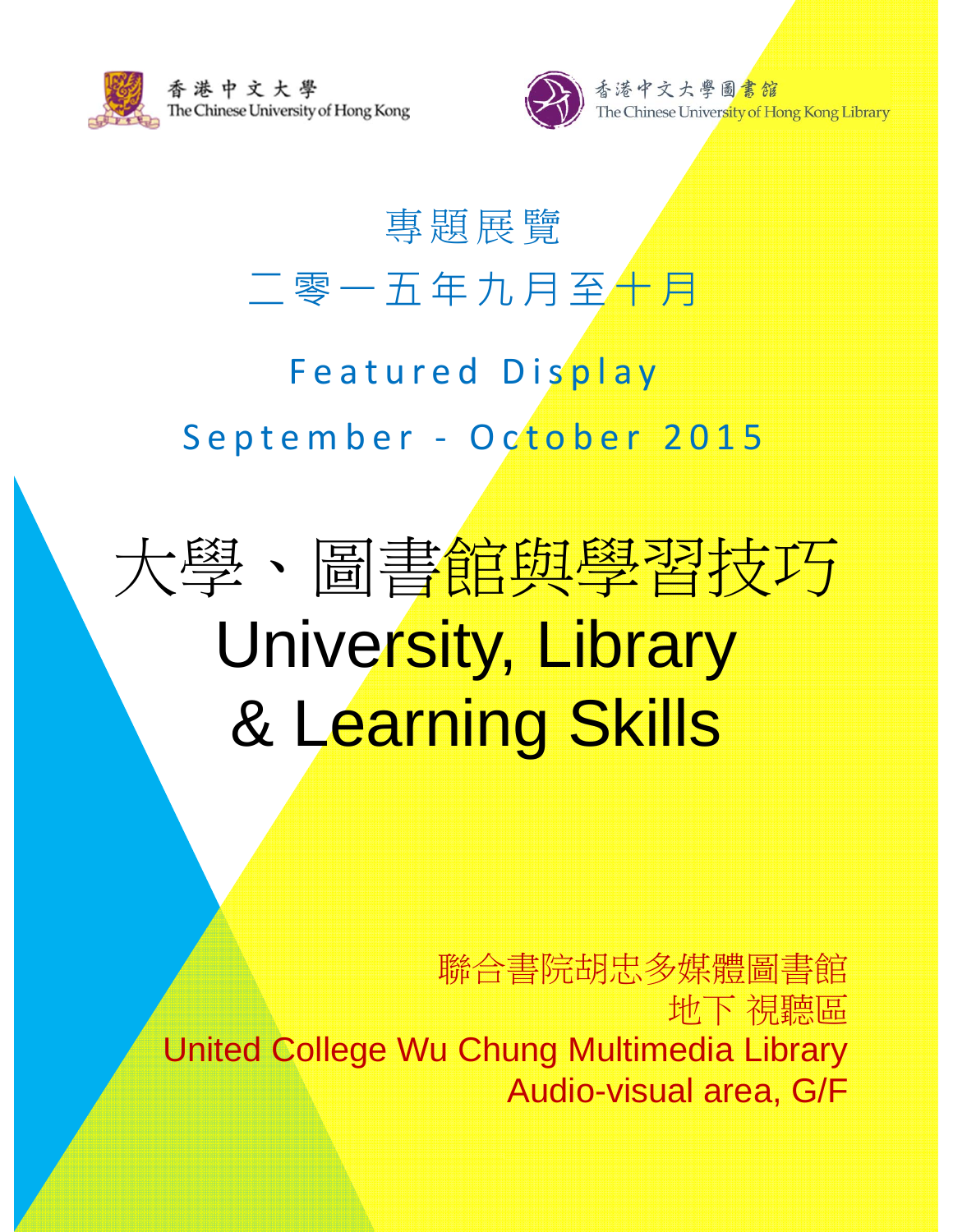



# 專題展覽 二零一五年九月至十月

### Featured Display September - October 2015

# 大學、圖書館與學習技巧 University, Library & Learning Skills

聯合書院胡忠多媒體圖書館 地下 視聽區 United College Wu Chung Multimedia Library Audio-visual area, G/F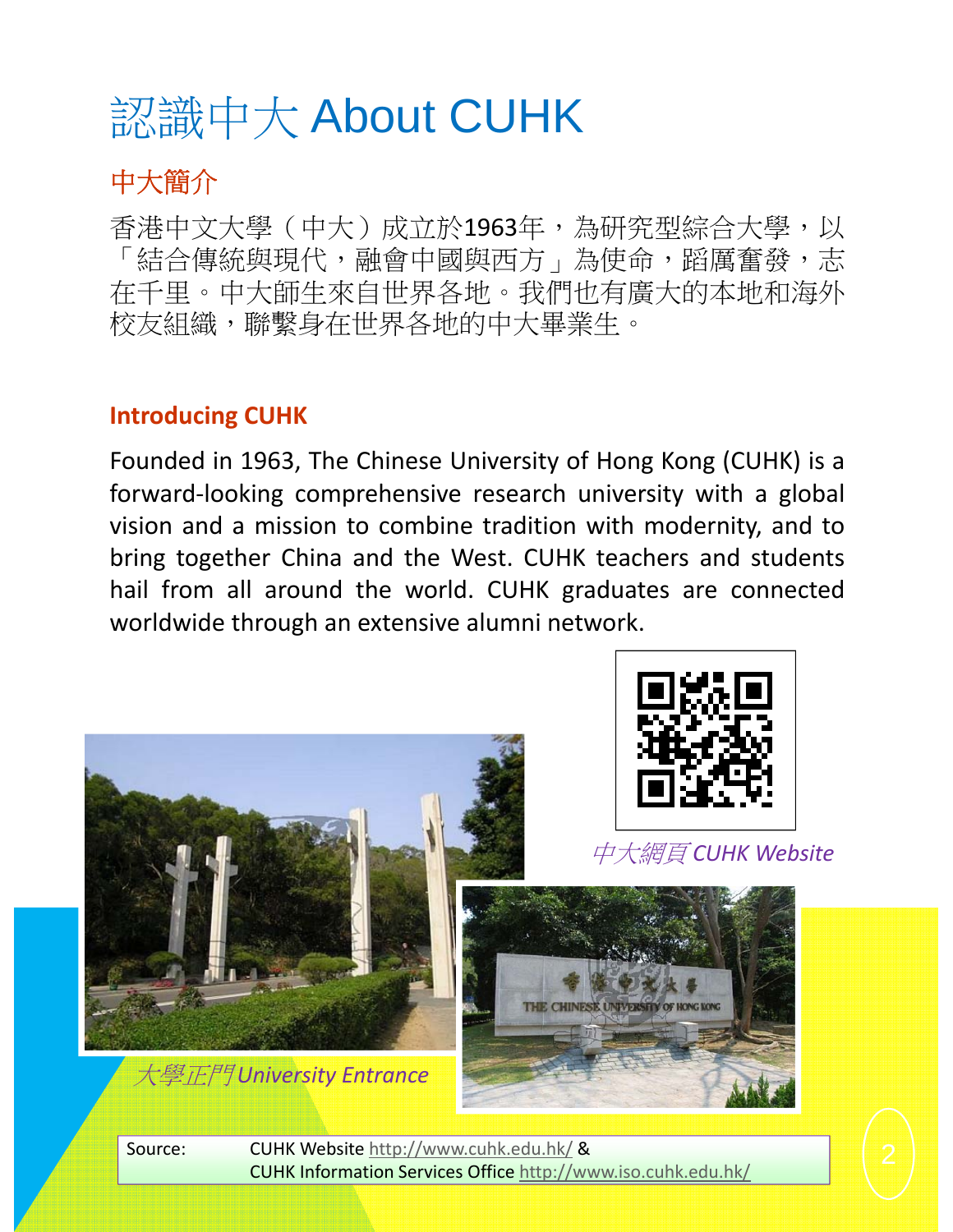# 認識中大 About CUHK

#### 中大簡介

香港中文大學(中大)成立於1963年,為研究型綜合大學,以 「結合傳統與現代,融會中國與西方」為使命,蹈厲奮發,志 在千里。中大師生來自世界各地。我們也有廣大的本地和海外 校友組織,聯繫身在世界各地的中大畢業生。

#### **Introducing CUHK**

Founded in 1963, The Chinese University of Hong Kong (CUHK) is a forward‐looking comprehensive research university with a global vision and a mission to combine tradition with modernity, and to bring together China and the West. CUHK teachers and students hail from all around the world. CUHK graduates are connected worldwide through an extensive alumni network.



Source: CUHK Website http://www.cuhk.edu.hk/ & CUHK Information Services Office http://www.iso.cuhk.edu.hk/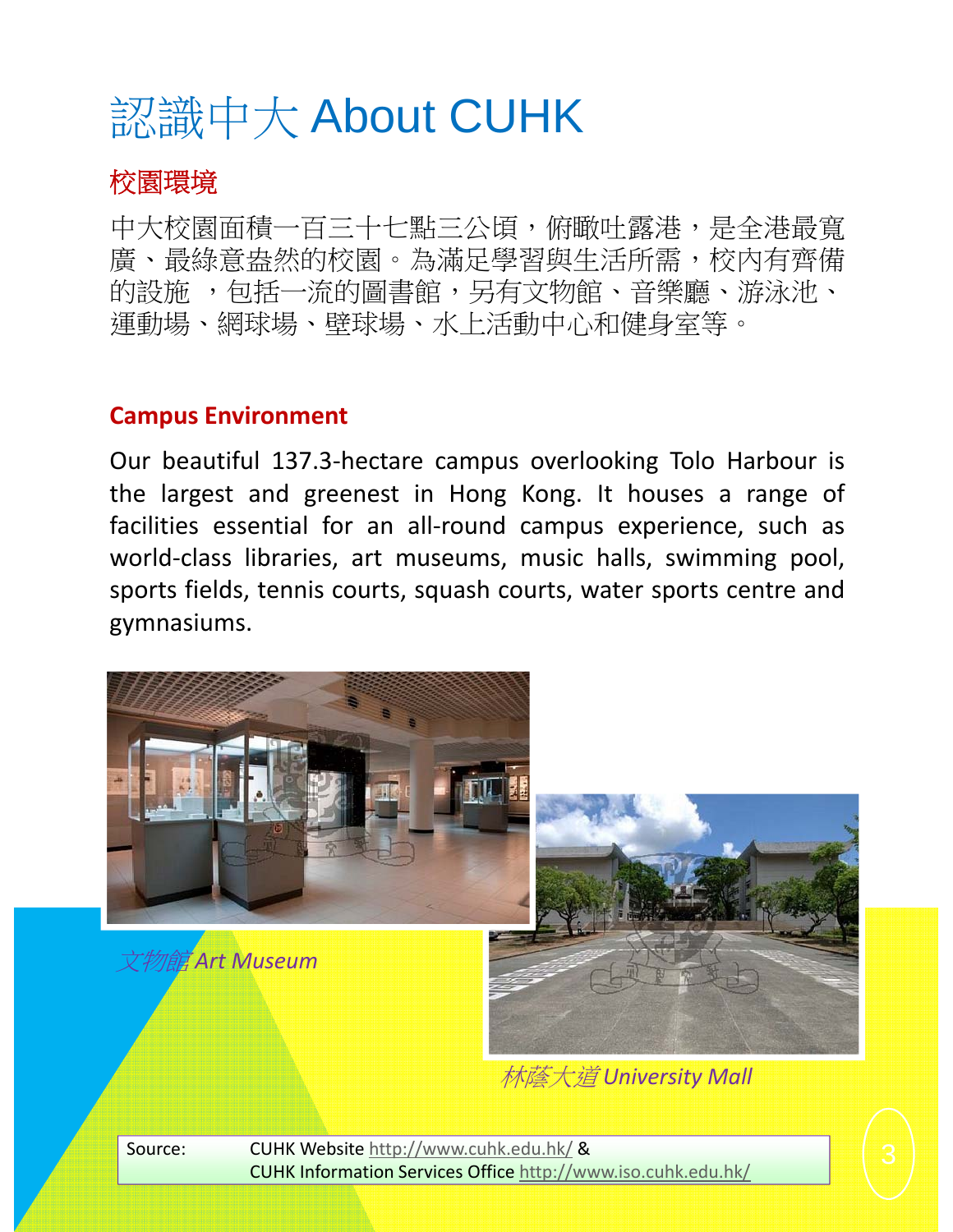## 認識中大 About CUHK

#### 校園環境

中大校園面積一百三十七點三公頃,俯瞰吐露港,是全港最寬 廣、最綠意盎然的校園。為滿足學習與生活所需,校內有齊備 的設施,包括一流的圖書館,另有文物館、音樂廳、游泳池、 運動場、網球場、壁球場、水上活動中心和健身室等。

#### **Campus Environment**

Our beautiful 137.3‐hectare campus overlooking Tolo Harbour is the largest and greenest in Hong Kong. It houses a range of facilities essential for an all‐round campus experience, such as world-class libraries, art museums, music halls, swimming pool, sports fields, tennis courts, squash courts, water sports centre and gymnasiums.



林蔭大道 *University Mall*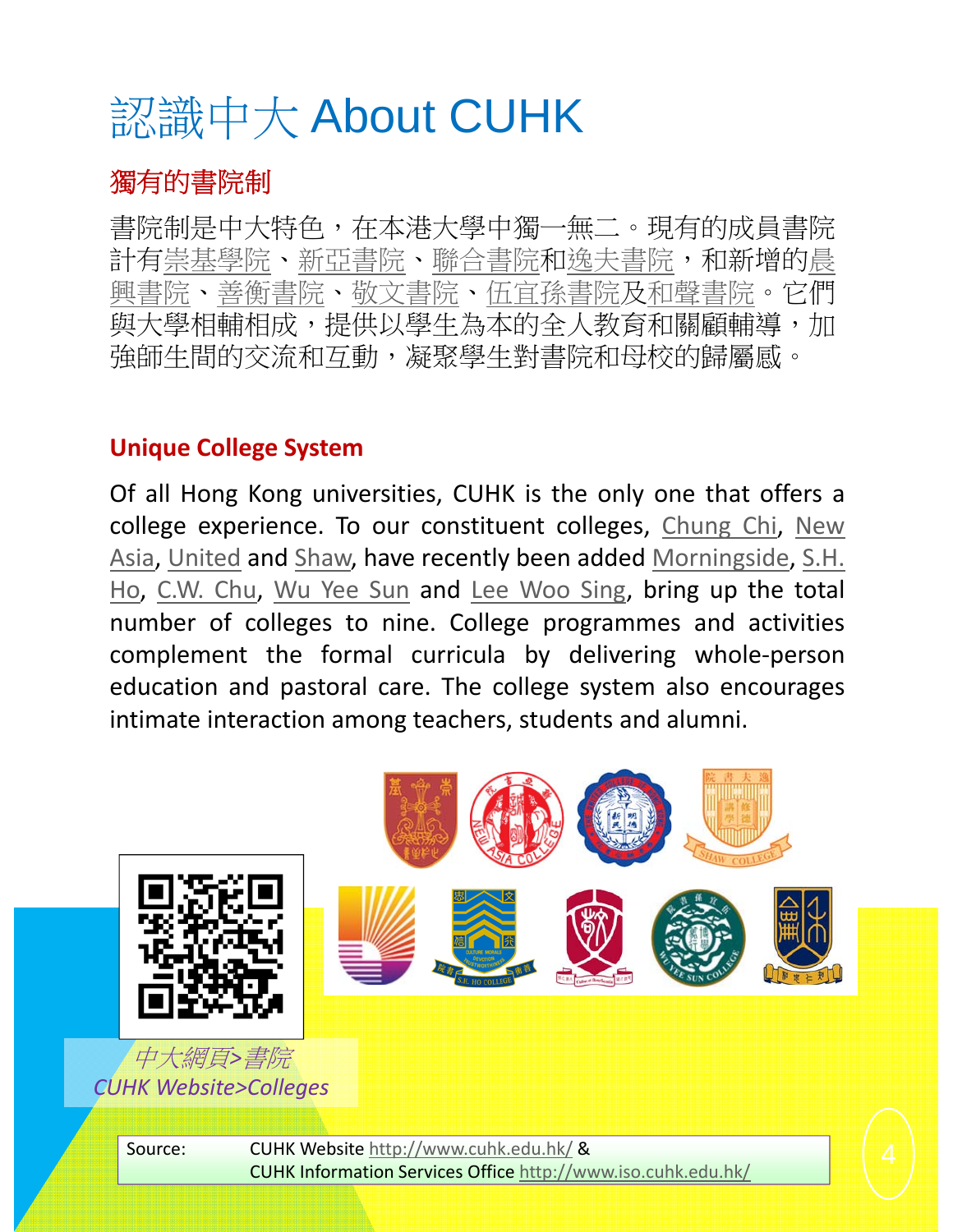## 認識中大 About CUHK

#### 獨有的書院制

書院制是中大特色,在本港大學中獨一無二。現有的成員書院 計有崇基學院、新亞書院、聯合書院和逸夫書院,和新增的晨 興書院、善衡書院、敬文書院、伍宜孫書院及和聲書院。它們 與大學相輔相成,提供以學生為本的全人教育和關顧輔導,加 強師生間的交流和互動,凝聚學生對書院和母校的歸屬感。

#### **Unique College System**

Of all Hong Kong universities, CUHK is the only one that offers a college experience. To our constituent colleges, Chung Chi, New Asia, United and Shaw, have recently been added Morningside, S.H. Ho, C.W. Chu, Wu Yee Sun and Lee Woo Sing, bring up the total number of colleges to nine. College programmes and activities complement the formal curricula by delivering whole‐person education and pastoral care. The college system also encourages intimate interaction among teachers, students and alumni.

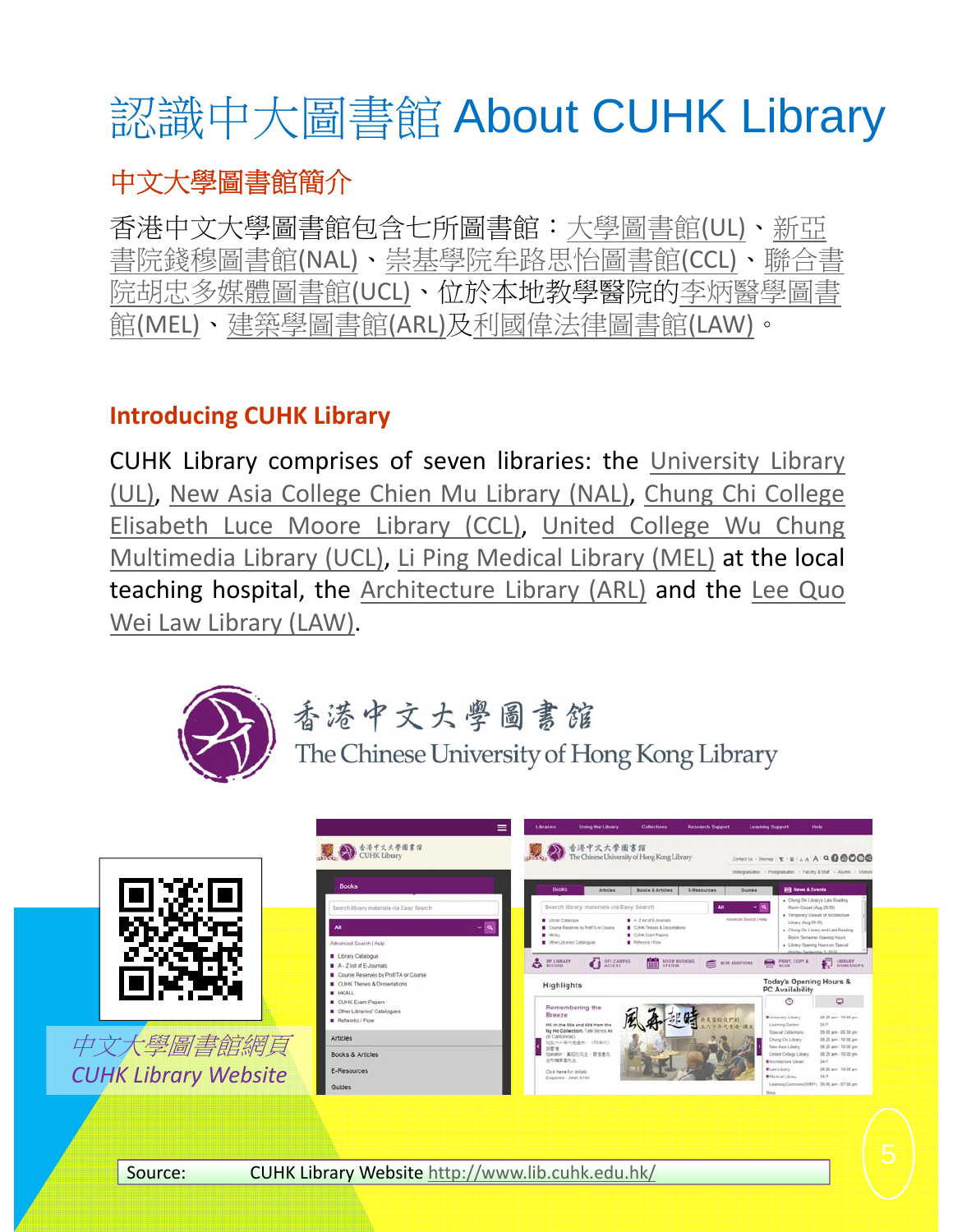# 認識中大圖書館 About CUHK Library

#### 中文大學圖書館簡介

香港中文大學圖書館包含七所圖書館:大學圖書館(UL)、新亞 書院錢穆圖書館(NAL)、崇基學院牟路思怡圖書館(CCL)、聯合書 院胡忠多媒體圖書館(UCL)、位於本地教學醫院的李炳醫學圖書 館(MEL)、建築學圖書館(ARL)及利國偉法律圖書館(LAW)。

#### **Introducing CUHK Library**

CUHK Library comprises of seven libraries: the University Library (UL), New Asia College Chien Mu Library (NAL), Chung Chi College Elisabeth Luce Moore Library (CCL), United College Wu Chung Multimedia Library (UCL), Li Ping Medical Library (MEL) at the local teaching hospital, the Architecture Library (ARL) and the Lee Quo Wei Law Library (LAW).



### 香港中文大學圖書館

The Chinese University of Hong Kong Library



中文大學圖書館網頁 *CUHK Library Website*



Source: CUHK Library Website http://www.lib.cuhk.edu.hk/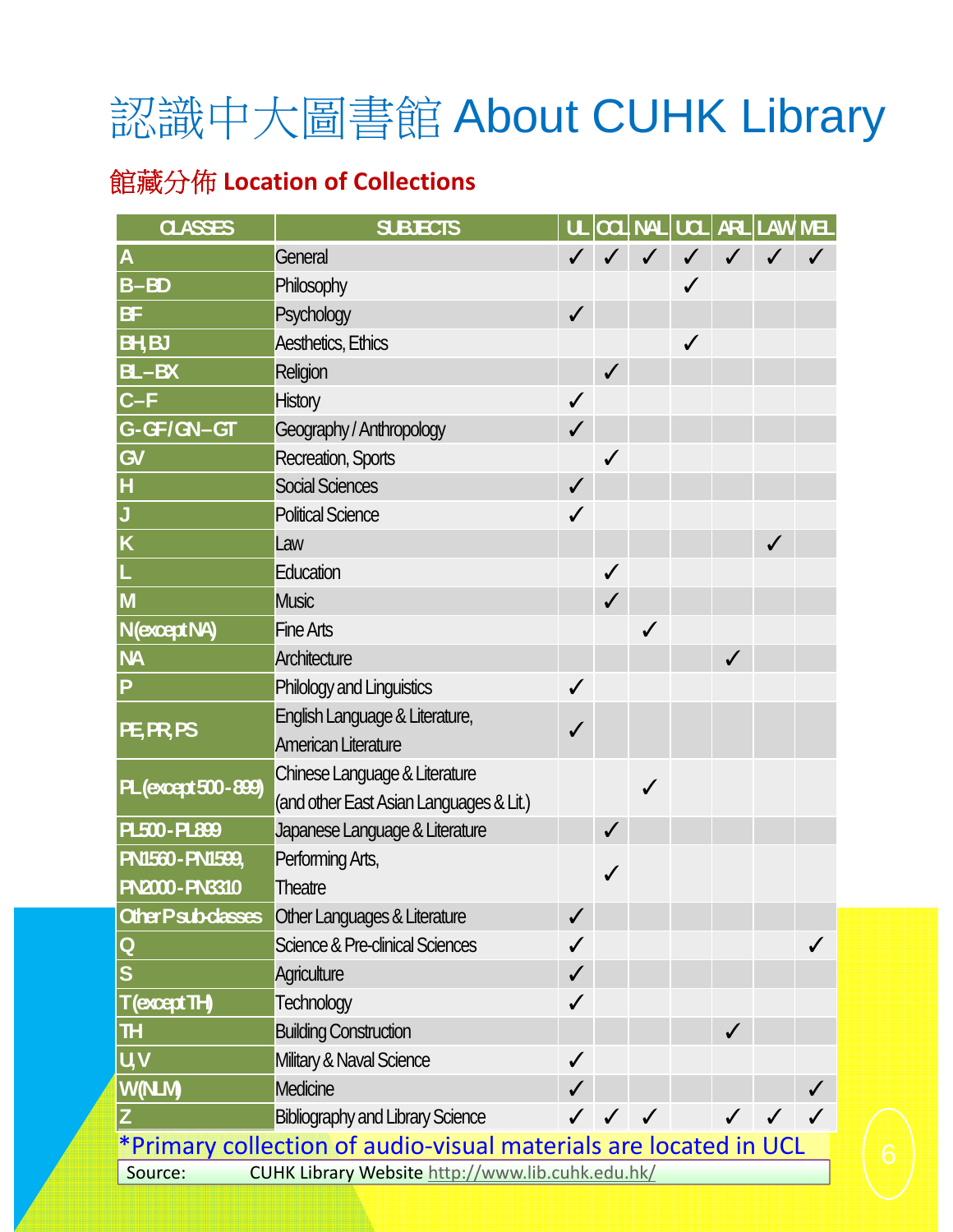# 認識中大圖書館 About CUHK Library

#### 館藏分佈 **Location of Collections**

| <b>CLASSES</b>                                                   | <b>SUBJECTS</b>                                  |              |              |              |  |              | UL CCL NAL UCL ARL LAW MEL |   |
|------------------------------------------------------------------|--------------------------------------------------|--------------|--------------|--------------|--|--------------|----------------------------|---|
| $\overline{A}$                                                   | General                                          |              |              |              |  |              |                            |   |
| $B - BD$                                                         | Philosophy                                       |              |              |              |  |              |                            |   |
| <b>BF</b>                                                        | Psychology                                       | $\checkmark$ |              |              |  |              |                            |   |
| <b>BH, BJ</b>                                                    | Aesthetics, Ethics                               |              |              |              |  |              |                            |   |
| $BL - BX$                                                        | Religion                                         |              | ✓            |              |  |              |                            |   |
| $C-F$                                                            | <b>History</b>                                   | $\checkmark$ |              |              |  |              |                            |   |
| G-GF/GN-GT                                                       | Geography / Anthropology                         | $\checkmark$ |              |              |  |              |                            |   |
| GV                                                               | Recreation, Sports                               |              | ✓            |              |  |              |                            |   |
| $\vert$ H                                                        | Social Sciences                                  | $\checkmark$ |              |              |  |              |                            |   |
|                                                                  | <b>Political Science</b>                         | ✓            |              |              |  |              |                            |   |
| $\overline{\mathsf{K}}$                                          | Law                                              |              |              |              |  |              | ✓                          |   |
|                                                                  | Education                                        |              | $\checkmark$ |              |  |              |                            |   |
| $\overline{\mathsf{M}}$                                          | <b>Music</b>                                     |              | $\checkmark$ |              |  |              |                            |   |
| N (except NA)                                                    | <b>Fine Arts</b>                                 |              |              | ✔            |  |              |                            |   |
| <b>NA</b>                                                        | Architecture                                     |              |              |              |  | $\checkmark$ |                            |   |
| P                                                                | Philology and Linguistics                        | ✓            |              |              |  |              |                            |   |
| PE, PR, PS                                                       | English Language & Literature,                   | ✓            |              |              |  |              |                            |   |
|                                                                  | American Literature                              |              |              |              |  |              |                            |   |
| PL (except 500 - 899)                                            | Chinese Language & Literature                    |              |              | $\checkmark$ |  |              |                            |   |
|                                                                  | (and other East Asian Languages & Lit.)          |              |              |              |  |              |                            |   |
| PL500 - PL899                                                    | Japanese Language & Literature                   |              | ✓            |              |  |              |                            |   |
| PN1560 - PN1599,                                                 | Performing Arts,                                 |              |              |              |  |              |                            |   |
| PN2000 - PN3310                                                  | <b>Theatre</b>                                   |              |              |              |  |              |                            |   |
| Other P sub-classes                                              | Other Languages & Literature                     | $\checkmark$ |              |              |  |              |                            |   |
| $\overline{O}$                                                   | Science & Pre-clinical Sciences                  | ✓            |              |              |  |              |                            | ✓ |
| S                                                                | Agriculture                                      | $\checkmark$ |              |              |  |              |                            |   |
| T (except TH)                                                    | <b>Technology</b>                                | $\checkmark$ |              |              |  |              |                            |   |
| $\mathbf{u}$                                                     | <b>Building Construction</b>                     |              |              |              |  | $\checkmark$ |                            |   |
| U, V                                                             | Military & Naval Science                         | $\checkmark$ |              |              |  |              |                            |   |
| W (NLM)                                                          | Medicine                                         |              |              |              |  |              |                            |   |
|                                                                  | <b>Bibliography and Library Science</b>          |              |              |              |  |              |                            |   |
| *Primary collection of audio-visual materials are located in UCL |                                                  |              |              |              |  |              |                            |   |
| Source:                                                          | CUHK Library Website http://www.lib.cuhk.edu.hk/ |              |              |              |  |              |                            |   |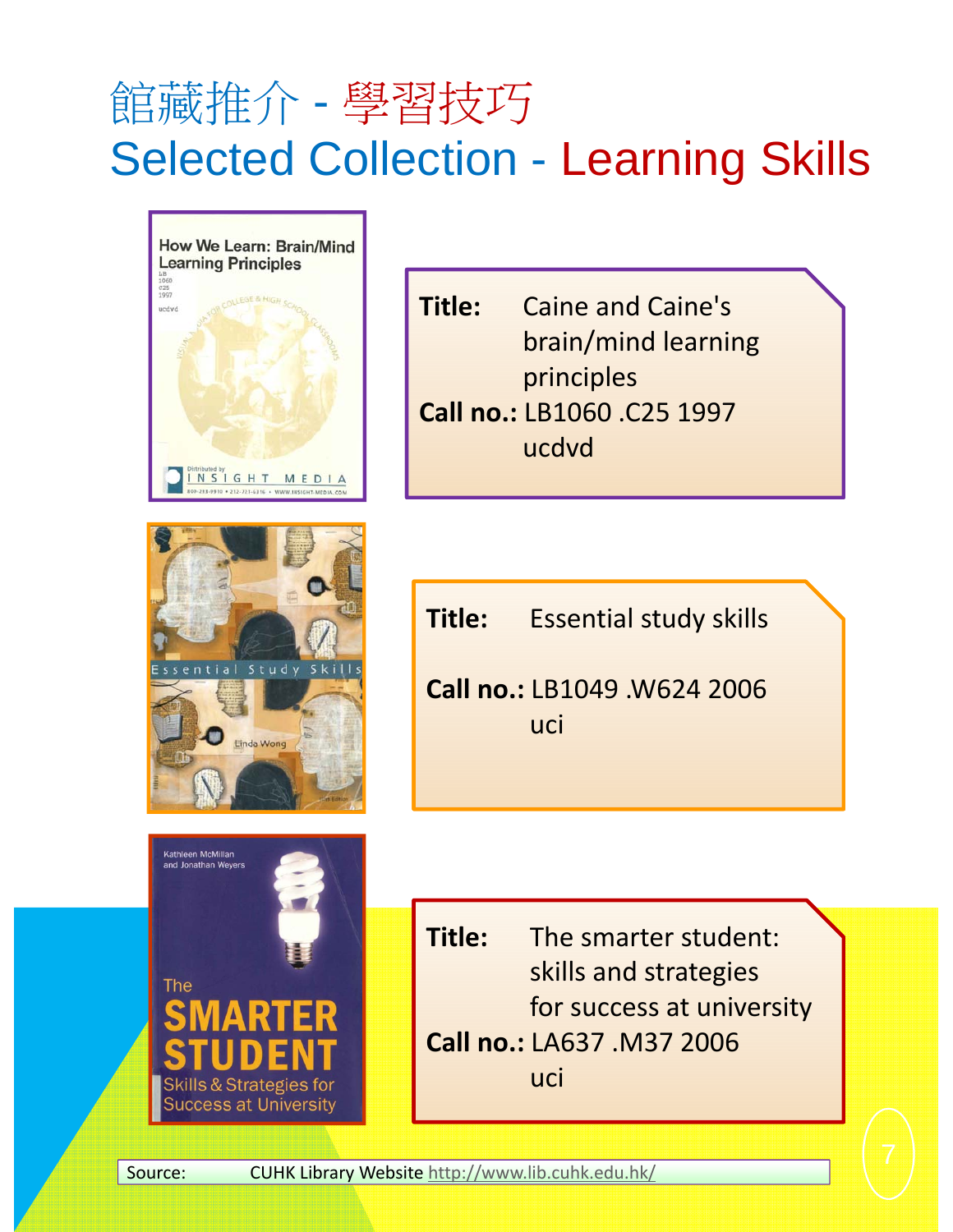# 館藏推介 - 學習技巧 Selected Collection - Learning Skills



**Title:** Caine and Caine's brain/mind learning principles **Call no.:** LB1060 .C25 1997 ucdvd

![](_page_6_Picture_3.jpeg)

**Success at University** 

Kathleen McMillan and Jonathan Wevers

The

**Title:** Essential study skills

**Call no.:** LB1049 .W624 2006 uci

**Title:** The smarter student: skills and strategies for success at university **Call no.:** LA637 .M37 2006 uci

Source: CUHK Library Website http://www.lib.cuhk.edu.hk/